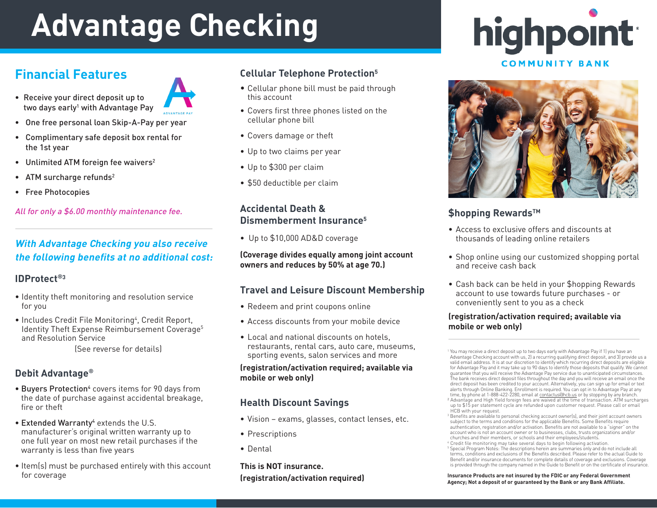# **Advantage Checking**

# **Financial Features**

- Receive your direct deposit up to two days early<sup>1</sup> with Advantage Pay
- One free personal loan Skip-A-Pay per year
- Complimentary safe deposit box rental for the 1st year
- Unlimited ATM foreign fee waivers<sup>2</sup>
- ATM surcharge refunds<sup>2</sup>
- Free Photocopies

All for only a \$6.00 monthly maintenance fee.

### **With Advantage Checking you also receive the following benefits at no additional cost:**

#### **IDProtect®3**

- Identity theft monitoring and resolution service for you
- Includes Credit File Monitoring<sup>4</sup>, Credit Report, Identity Theft Expense Reimbursement Coverage<sup>5</sup> and Resolution Service

(See reverse for details)

#### **Debit Advantage®**

- Buyers Protection<sup>4</sup> covers items for 90 days from the date of purchase against accidental breakage, fire or theft
- **Extended Warranty**<sup>4</sup> extends the U.S. manufacturer's original written warranty up to one full year on most new retail purchases if the warranty is less than five years
- Item(s) must be purchased entirely with this account for coverage

#### **Cellular Telephone Protection5**

- Cellular phone bill must be paid through this account
- Covers first three phones listed on the cellular phone bill
- Covers damage or theft
- Up to two claims per year
- Up to \$300 per claim
- \$50 deductible per claim

#### **Accidental Death & Dismemberment Insurance5**

• Up to \$10,000 AD&D coverage

#### **(Coverage divides equally among joint account owners and reduces by 50% at age 70.)**

#### **Travel and Leisure Discount Membership**

- Redeem and print coupons online
- Access discounts from your mobile device
- Local and national discounts on hotels, restaurants, rental cars, auto care, museums, sporting events, salon services and more

#### **(registration/activation required; available via mobile or web only)**

#### **Health Discount Savings**

- Vision exams, glasses, contact lenses, etc.
- Prescriptions
- Dental

**This is NOT insurance. (registration/activation required)**





#### **\$hopping RewardsTM**

- Access to exclusive offers and discounts at thousands of leading online retailers
- Shop online using our customized shopping portal and receive cash back
- Cash back can be held in your \$hopping Rewards account to use towards future purchases - or conveniently sent to you as a check

#### **(registration/activation required; available via mobile or web only)**

You may receive a direct deposit up to two days early with Advantage Pay if 1) you have an Advantage Checking account with us, 2) a recurring qualifying direct deposit, and 3) provide us a valid email address. It is at our discretion to identify which recurring direct deposits are eligible for Advantage Pay and it may take up to 90 days to identify those deposits that qualify. We cannot guarantee that you will receive the Advantage Pay service due to unanticipated circumstances. The bank receives direct deposit files throughout the day and you will receive an email once the direct deposit has been credited to your account. Alternatively, you can sign up for email or text alerts through Online Banking. Enrollment is required. You can opt in to Advantage Pay at any time, by phone at 1-888-422-2280, email at contactus@hcb.us or by stopping by any branch. <sup>2</sup> Advantage and High Yield foreign fees are waived at the time of transaction. ATM surcharges

up to \$15 per statement cycle are refunded upon customer request. Please call or email HCB with your request.

<sup>3</sup> Benefits are available to personal checking account owner(s), and their joint account owners subject to the terms and conditions for the applicable Benefits. Some Benefits require authentication, registration and/or activation. Benefits are not available to a "signer" on the account who is not an account owner or to businesses, clubs, trusts organizations and/or churches and their members, or schools and their employees/students. <sup>4</sup> Credit file monitoring may take several days to begin following activation.

<sup>5</sup> Special Program Notes: The descriptions herein are summaries only and do not include all terms, conditions and exclusions of the Benefits described. Please refer to the actual Guide to Benefit and/or insurance documents for complete details of coverage and exclusions. Coverage is provided through the company named in the Guide to Benefit or on the certificate of insurance.

#### **Insurance Products are not insured by the FDIC or any Federal Government Agency; Not a deposit of or guaranteed by the Bank or any Bank Affiliate.**